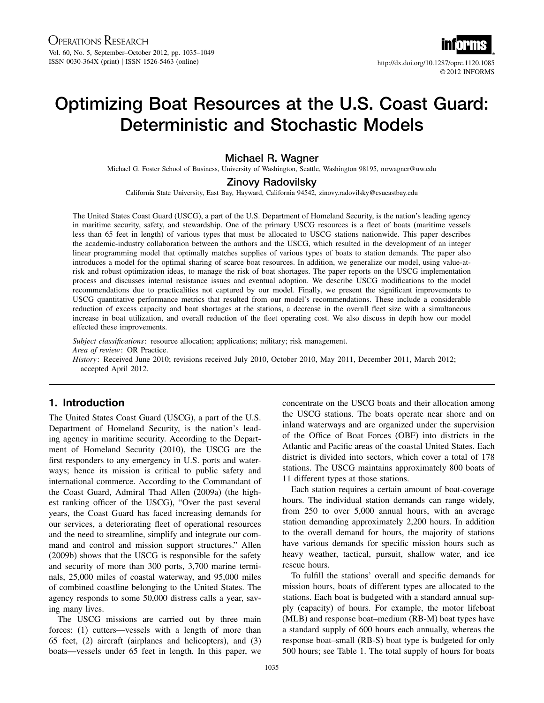

# Optimizing Boat Resources at the U.S. Coast Guard: Deterministic and Stochastic Models

# Michael R. Wagner

Michael G. Foster School of Business, University of Washington, Seattle, Washington 98195, mrwagner@uw.edu

## Zinovy Radovilsky

California State University, East Bay, Hayward, California 94542, zinovy.radovilsky@csueastbay.edu

The United States Coast Guard (USCG), a part of the U.S. Department of Homeland Security, is the nation's leading agency in maritime security, safety, and stewardship. One of the primary USCG resources is a fleet of boats (maritime vessels less than 65 feet in length) of various types that must be allocated to USCG stations nationwide. This paper describes the academic-industry collaboration between the authors and the USCG, which resulted in the development of an integer linear programming model that optimally matches supplies of various types of boats to station demands. The paper also introduces a model for the optimal sharing of scarce boat resources. In addition, we generalize our model, using value-atrisk and robust optimization ideas, to manage the risk of boat shortages. The paper reports on the USCG implementation process and discusses internal resistance issues and eventual adoption. We describe USCG modifications to the model recommendations due to practicalities not captured by our model. Finally, we present the significant improvements to USCG quantitative performance metrics that resulted from our model's recommendations. These include a considerable reduction of excess capacity and boat shortages at the stations, a decrease in the overall fleet size with a simultaneous increase in boat utilization, and overall reduction of the fleet operating cost. We also discuss in depth how our model effected these improvements.

Subject classifications: resource allocation; applications; military; risk management. Area of review: OR Practice. History: Received June 2010; revisions received July 2010, October 2010, May 2011, December 2011, March 2012; accepted April 2012.

# 1. Introduction

The United States Coast Guard (USCG), a part of the U.S. Department of Homeland Security, is the nation's leading agency in maritime security. According to the Department of Homeland Security (2010), the USCG are the first responders to any emergency in U.S. ports and waterways; hence its mission is critical to public safety and international commerce. According to the Commandant of the Coast Guard, Admiral Thad Allen (2009a) (the highest ranking officer of the USCG), "Over the past several years, the Coast Guard has faced increasing demands for our services, a deteriorating fleet of operational resources and the need to streamline, simplify and integrate our command and control and mission support structures." Allen (2009b) shows that the USCG is responsible for the safety and security of more than 300 ports, 3,700 marine terminals, 25,000 miles of coastal waterway, and 95,000 miles of combined coastline belonging to the United States. The agency responds to some 50,000 distress calls a year, saving many lives.

The USCG missions are carried out by three main forces: (1) cutters—vessels with a length of more than 65 feet, (2) aircraft (airplanes and helicopters), and (3) boats—vessels under 65 feet in length. In this paper, we

concentrate on the USCG boats and their allocation among the USCG stations. The boats operate near shore and on inland waterways and are organized under the supervision of the Office of Boat Forces (OBF) into districts in the Atlantic and Pacific areas of the coastal United States. Each district is divided into sectors, which cover a total of 178 stations. The USCG maintains approximately 800 boats of 11 different types at those stations.

Each station requires a certain amount of boat-coverage hours. The individual station demands can range widely, from 250 to over 5,000 annual hours, with an average station demanding approximately 2,200 hours. In addition to the overall demand for hours, the majority of stations have various demands for specific mission hours such as heavy weather, tactical, pursuit, shallow water, and ice rescue hours.

To fulfill the stations' overall and specific demands for mission hours, boats of different types are allocated to the stations. Each boat is budgeted with a standard annual supply (capacity) of hours. For example, the motor lifeboat (MLB) and response boat–medium (RB-M) boat types have a standard supply of 600 hours each annually, whereas the response boat–small (RB-S) boat type is budgeted for only 500 hours; see Table 1. The total supply of hours for boats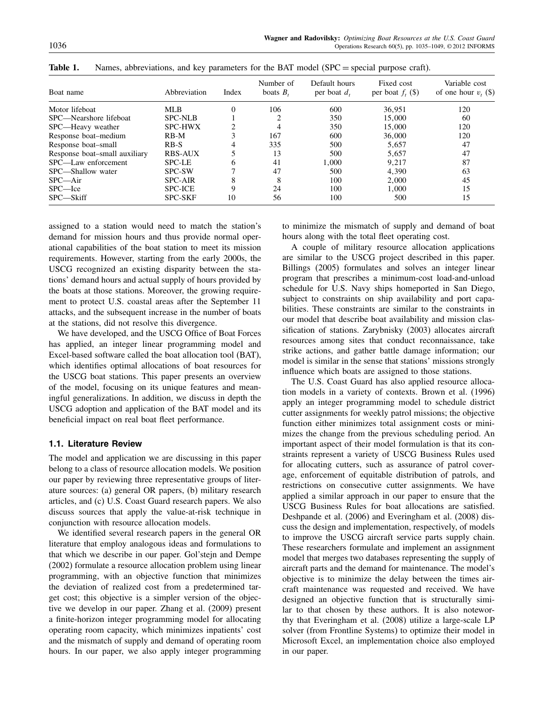| Boat name                     | Abbreviation   | Index    | Number of<br>boats $B_t$ | Default hours<br>per boat $d_i$ | Fixed cost<br>per boat $f_{t}(\$)$ | Variable cost<br>of one hour $v_t$ (\$) |
|-------------------------------|----------------|----------|--------------------------|---------------------------------|------------------------------------|-----------------------------------------|
| Motor lifeboat                | MLB            | $\Omega$ | 106                      | 600                             | 36.951                             | 120                                     |
| SPC—Nearshore lifeboat        | <b>SPC-NLB</b> |          | 2                        | 350                             | 15,000                             | 60                                      |
| SPC-Heavy weather             | <b>SPC-HWX</b> |          | 4                        | 350                             | 15,000                             | 120                                     |
| Response boat-medium          | $RB-M$         |          | 167                      | 600                             | 36,000                             | 120                                     |
| Response boat-small           | $RB-S$         | 4        | 335                      | 500                             | 5,657                              | 47                                      |
| Response boat-small auxiliary | <b>RBS-AUX</b> |          | 13                       | 500                             | 5,657                              | 47                                      |
| SPC—Law enforcement           | <b>SPC-LE</b>  | 6        | 41                       | 1.000                           | 9.217                              | 87                                      |
| SPC—Shallow water             | <b>SPC-SW</b>  |          | 47                       | 500                             | 4,390                              | 63                                      |
| SPC—Air                       | <b>SPC-AIR</b> | 8        | 8                        | 100                             | 2.000                              | 45                                      |
| $SPC$ —Ice                    | <b>SPC-ICE</b> |          | 24                       | 100                             | 1.000                              | 15                                      |
| SPC—Skiff                     | <b>SPC-SKF</b> | 10       | 56                       | 100                             | 500                                | 15                                      |

| Table 1. | Names, abbreviations, and key parameters for the BAT model ( $SPC$ = special purpose craft). |  |  |  |  |
|----------|----------------------------------------------------------------------------------------------|--|--|--|--|
|----------|----------------------------------------------------------------------------------------------|--|--|--|--|

assigned to a station would need to match the station's demand for mission hours and thus provide normal operational capabilities of the boat station to meet its mission requirements. However, starting from the early 2000s, the USCG recognized an existing disparity between the stations' demand hours and actual supply of hours provided by the boats at those stations. Moreover, the growing requirement to protect U.S. coastal areas after the September 11 attacks, and the subsequent increase in the number of boats at the stations, did not resolve this divergence.

We have developed, and the USCG Office of Boat Forces has applied, an integer linear programming model and Excel-based software called the boat allocation tool (BAT), which identifies optimal allocations of boat resources for the USCG boat stations. This paper presents an overview of the model, focusing on its unique features and meaningful generalizations. In addition, we discuss in depth the USCG adoption and application of the BAT model and its beneficial impact on real boat fleet performance.

## 1.1. Literature Review

The model and application we are discussing in this paper belong to a class of resource allocation models. We position our paper by reviewing three representative groups of literature sources: (a) general OR papers, (b) military research articles, and (c) U.S. Coast Guard research papers. We also discuss sources that apply the value-at-risk technique in conjunction with resource allocation models.

We identified several research papers in the general OR literature that employ analogous ideas and formulations to that which we describe in our paper. Gol'stejn and Dempe (2002) formulate a resource allocation problem using linear programming, with an objective function that minimizes the deviation of realized cost from a predetermined target cost; this objective is a simpler version of the objective we develop in our paper. Zhang et al. (2009) present a finite-horizon integer programming model for allocating operating room capacity, which minimizes inpatients' cost and the mismatch of supply and demand of operating room hours. In our paper, we also apply integer programming to minimize the mismatch of supply and demand of boat hours along with the total fleet operating cost.

A couple of military resource allocation applications are similar to the USCG project described in this paper. Billings (2005) formulates and solves an integer linear program that prescribes a minimum-cost load-and-unload schedule for U.S. Navy ships homeported in San Diego, subject to constraints on ship availability and port capabilities. These constraints are similar to the constraints in our model that describe boat availability and mission classification of stations. Zarybnisky (2003) allocates aircraft resources among sites that conduct reconnaissance, take strike actions, and gather battle damage information; our model is similar in the sense that stations' missions strongly influence which boats are assigned to those stations.

The U.S. Coast Guard has also applied resource allocation models in a variety of contexts. Brown et al. (1996) apply an integer programming model to schedule district cutter assignments for weekly patrol missions; the objective function either minimizes total assignment costs or minimizes the change from the previous scheduling period. An important aspect of their model formulation is that its constraints represent a variety of USCG Business Rules used for allocating cutters, such as assurance of patrol coverage, enforcement of equitable distribution of patrols, and restrictions on consecutive cutter assignments. We have applied a similar approach in our paper to ensure that the USCG Business Rules for boat allocations are satisfied. Deshpande et al. (2006) and Everingham et al. (2008) discuss the design and implementation, respectively, of models to improve the USCG aircraft service parts supply chain. These researchers formulate and implement an assignment model that merges two databases representing the supply of aircraft parts and the demand for maintenance. The model's objective is to minimize the delay between the times aircraft maintenance was requested and received. We have designed an objective function that is structurally similar to that chosen by these authors. It is also noteworthy that Everingham et al. (2008) utilize a large-scale LP solver (from Frontline Systems) to optimize their model in Microsoft Excel, an implementation choice also employed in our paper.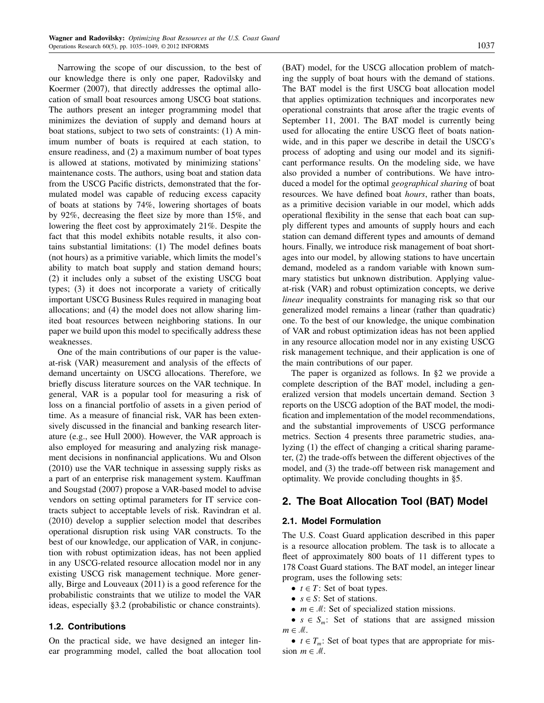Narrowing the scope of our discussion, to the best of our knowledge there is only one paper, Radovilsky and Koermer (2007), that directly addresses the optimal allocation of small boat resources among USCG boat stations. The authors present an integer programming model that minimizes the deviation of supply and demand hours at boat stations, subject to two sets of constraints: (1) A minimum number of boats is required at each station, to ensure readiness, and (2) a maximum number of boat types is allowed at stations, motivated by minimizing stations' maintenance costs. The authors, using boat and station data from the USCG Pacific districts, demonstrated that the formulated model was capable of reducing excess capacity of boats at stations by 74%, lowering shortages of boats by 92%, decreasing the fleet size by more than 15%, and lowering the fleet cost by approximately 21%. Despite the fact that this model exhibits notable results, it also contains substantial limitations: (1) The model defines boats (not hours) as a primitive variable, which limits the model's ability to match boat supply and station demand hours; (2) it includes only a subset of the existing USCG boat types; (3) it does not incorporate a variety of critically important USCG Business Rules required in managing boat allocations; and (4) the model does not allow sharing limited boat resources between neighboring stations. In our paper we build upon this model to specifically address these weaknesses.

One of the main contributions of our paper is the valueat-risk (VAR) measurement and analysis of the effects of demand uncertainty on USCG allocations. Therefore, we briefly discuss literature sources on the VAR technique. In general, VAR is a popular tool for measuring a risk of loss on a financial portfolio of assets in a given period of time. As a measure of financial risk, VAR has been extensively discussed in the financial and banking research literature (e.g., see Hull 2000). However, the VAR approach is also employed for measuring and analyzing risk management decisions in nonfinancial applications. Wu and Olson (2010) use the VAR technique in assessing supply risks as a part of an enterprise risk management system. Kauffman and Sougstad (2007) propose a VAR-based model to advise vendors on setting optimal parameters for IT service contracts subject to acceptable levels of risk. Ravindran et al. (2010) develop a supplier selection model that describes operational disruption risk using VAR constructs. To the best of our knowledge, our application of VAR, in conjunction with robust optimization ideas, has not been applied in any USCG-related resource allocation model nor in any existing USCG risk management technique. More generally, Birge and Louveaux (2011) is a good reference for the probabilistic constraints that we utilize to model the VAR ideas, especially §3.2 (probabilistic or chance constraints).

## 1.2. Contributions

On the practical side, we have designed an integer linear programming model, called the boat allocation tool (BAT) model, for the USCG allocation problem of matching the supply of boat hours with the demand of stations. The BAT model is the first USCG boat allocation model that applies optimization techniques and incorporates new operational constraints that arose after the tragic events of September 11, 2001. The BAT model is currently being used for allocating the entire USCG fleet of boats nationwide, and in this paper we describe in detail the USCG's process of adopting and using our model and its significant performance results. On the modeling side, we have also provided a number of contributions. We have introduced a model for the optimal geographical sharing of boat resources. We have defined boat hours, rather than boats, as a primitive decision variable in our model, which adds operational flexibility in the sense that each boat can supply different types and amounts of supply hours and each station can demand different types and amounts of demand hours. Finally, we introduce risk management of boat shortages into our model, by allowing stations to have uncertain demand, modeled as a random variable with known summary statistics but unknown distribution. Applying valueat-risk (VAR) and robust optimization concepts, we derive linear inequality constraints for managing risk so that our generalized model remains a linear (rather than quadratic) one. To the best of our knowledge, the unique combination of VAR and robust optimization ideas has not been applied in any resource allocation model nor in any existing USCG risk management technique, and their application is one of the main contributions of our paper.

The paper is organized as follows. In §2 we provide a complete description of the BAT model, including a generalized version that models uncertain demand. Section 3 reports on the USCG adoption of the BAT model, the modification and implementation of the model recommendations, and the substantial improvements of USCG performance metrics. Section 4 presents three parametric studies, analyzing (1) the effect of changing a critical sharing parameter, (2) the trade-offs between the different objectives of the model, and (3) the trade-off between risk management and optimality. We provide concluding thoughts in §5.

# 2. The Boat Allocation Tool (BAT) Model

## 2.1. Model Formulation

The U.S. Coast Guard application described in this paper is a resource allocation problem. The task is to allocate a fleet of approximately 800 boats of 11 different types to 178 Coast Guard stations. The BAT model, an integer linear program, uses the following sets:

- $t \in T$ : Set of boat types.
- $s \in S$ : Set of stations.
- $m \in \mathcal{M}$ : Set of specialized station missions.
- $s \in S_m$ : Set of stations that are assigned mission  $m \in \mathcal{M}$ .

•  $t \in T_m$ : Set of boat types that are appropriate for mission  $m \in \mathcal{M}$ .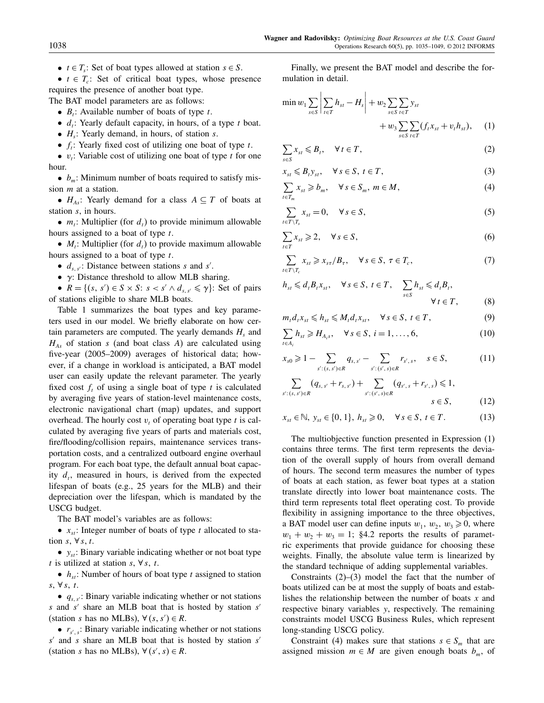•  $t \in T_s$ : Set of boat types allowed at station  $s \in S$ .

•  $t \in T_c$ : Set of critical boat types, whose presence requires the presence of another boat type.

The BAT model parameters are as follows:

- $B_t$ : Available number of boats of type t.
- $d_i$ : Yearly default capacity, in hours, of a type t boat.
- $H_s$ : Yearly demand, in hours, of station s.
- $f_t$ : Yearly fixed cost of utilizing one boat of type t.

•  $v_t$ : Variable cost of utilizing one boat of type t for one hour.

•  $b_m$ : Minimum number of boats required to satisfy mission  $m$  at a station.

•  $H_{As}$ : Yearly demand for a class  $A \subseteq T$  of boats at station s, in hours.

•  $m_t$ : Multiplier (for  $d_t$ ) to provide minimum allowable hours assigned to a boat of type  $t$ .

•  $M_t$ : Multiplier (for  $d_t$ ) to provide maximum allowable hours assigned to a boat of type t.

- $d_{s,s'}$ : Distance between stations s and s'.
- $\gamma$ : Distance threshold to allow MLB sharing.

•  $R = \{(s, s') \in S \times S: s < s' \wedge d_{s, s'} \leq \gamma\}$ : Set of pairs of stations eligible to share MLB boats.

Table 1 summarizes the boat types and key parameters used in our model. We briefly elaborate on how certain parameters are computed. The yearly demands  $H<sub>s</sub>$  and  $H_{As}$  of station s (and boat class A) are calculated using five-year (2005–2009) averages of historical data; however, if a change in workload is anticipated, a BAT model user can easily update the relevant parameter. The yearly fixed cost  $f_t$  of using a single boat of type t is calculated by averaging five years of station-level maintenance costs, electronic navigational chart (map) updates, and support overhead. The hourly cost  $v_t$  of operating boat type t is calculated by averaging five years of parts and materials cost, fire/flooding/collision repairs, maintenance services transportation costs, and a centralized outboard engine overhaul program. For each boat type, the default annual boat capacity  $d_t$ , measured in hours, is derived from the expected lifespan of boats (e.g., 25 years for the MLB) and their depreciation over the lifespan, which is mandated by the USCG budget.

The BAT model's variables are as follows:

•  $x_{st}$ : Integer number of boats of type t allocated to station  $s, \forall s, t$ .

•  $y_{st}$ : Binary variable indicating whether or not boat type t is utilized at station s,  $\forall s, t$ .

•  $h_{st}$ : Number of hours of boat type t assigned to station s,  $\forall s, t$ .

•  $q_{s,s'}$ : Binary variable indicating whether or not stations  $s$  and  $s'$  share an MLB boat that is hosted by station  $s'$ (station s has no MLBs),  $\forall (s, s') \in R$ .

•  $r_{s',s}$ : Binary variable indicating whether or not stations  $s'$  and s share an MLB boat that is hosted by station  $s'$ (station s has no MLBs),  $\forall (s', s) \in R$ .

Finally, we present the BAT model and describe the formulation in detail.

$$
\min w_1 \sum_{s \in S} \left| \sum_{t \in T} h_{st} - H_s \right| + w_2 \sum_{s \in S} \sum_{t \in T} y_{st} + w_3 \sum_{s \in S} \sum_{t \in T} (f_t x_{st} + v_t h_{st}), \quad (1)
$$

$$
\sum_{s \in S} x_{st} \leq B_t, \quad \forall \, t \in T,
$$
\n<sup>(2)</sup>

$$
x_{st} \le B_t y_{st}, \quad \forall s \in S, \ t \in T,
$$
\n
$$
(3)
$$

$$
\sum_{t \in T_m} x_{st} \geq b_m, \quad \forall s \in S_m, \ m \in M,
$$
\n
$$
(4)
$$

$$
\sum_{t \in T \setminus T_s} x_{st} = 0, \quad \forall s \in S,
$$
\n<sup>(5)</sup>

$$
\sum_{t \in T} x_{st} \geqslant 2, \quad \forall \, s \in S,\tag{6}
$$

$$
\sum_{t \in T \setminus T_c} x_{st} \geqslant x_{s\tau}/B_{\tau}, \quad \forall s \in S, \ \tau \in T_c,
$$
\n<sup>(7)</sup>

$$
h_{st} \leq d_t B_t x_{st}, \quad \forall s \in S, t \in T, \quad \sum_{s \in S} h_{st} \leq d_t B_t, \forall t \in T,
$$
 (8)

$$
m_t d_t x_{st} \leqslant h_{st} \leqslant M_t d_t x_{st}, \quad \forall s \in S, \ t \in T,
$$
\n
$$
(9)
$$

$$
\sum_{t \in A_i} h_{st} \geq H_{A_i s}, \quad \forall s \in S, i = 1, \dots, 6,
$$
\n
$$
(10)
$$

$$
x_{s0} \geq 1 - \sum_{s': (s, s') \in R} q_{s, s'} - \sum_{s': (s', s) \in R} r_{s', s}, \quad s \in S,
$$
 (11)

$$
\sum_{s':(s,s')\in R} (q_{s,s'} + r_{s,s'}) + \sum_{s':(s',s)\in R} (q_{s',s} + r_{s',s}) \leq 1,
$$
  
  $s \in S,$  (12)

$$
x_{st} \in \mathbb{N}, \ y_{st} \in \{0, 1\}, \ h_{st} \geq 0, \quad \forall \ s \in S, \ t \in T. \tag{13}
$$

The multiobjective function presented in Expression (1) contains three terms. The first term represents the deviation of the overall supply of hours from overall demand of hours. The second term measures the number of types of boats at each station, as fewer boat types at a station translate directly into lower boat maintenance costs. The third term represents total fleet operating cost. To provide flexibility in assigning importance to the three objectives, a BAT model user can define inputs  $w_1, w_2, w_3 \ge 0$ , where  $w_1 + w_2 + w_3 = 1$ ; §4.2 reports the results of parametric experiments that provide guidance for choosing these weights. Finally, the absolute value term is linearized by the standard technique of adding supplemental variables.

Constraints  $(2)$ – $(3)$  model the fact that the number of boats utilized can be at most the supply of boats and establishes the relationship between the number of boats  $x$  and respective binary variables y, respectively. The remaining constraints model USCG Business Rules, which represent long-standing USCG policy.

Constraint (4) makes sure that stations  $s \in S_m$  that are assigned mission  $m \in M$  are given enough boats  $b_m$ , of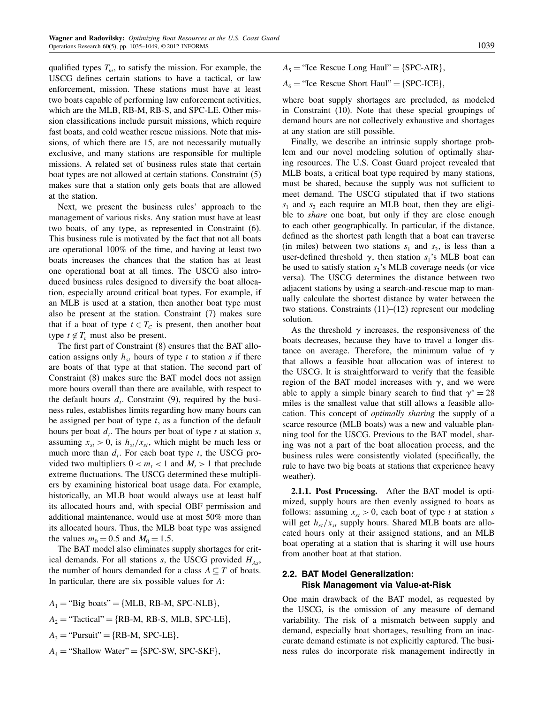qualified types  $T_m$ , to satisfy the mission. For example, the USCG defines certain stations to have a tactical, or law enforcement, mission. These stations must have at least two boats capable of performing law enforcement activities, which are the MLB, RB-M, RB-S, and SPC-LE. Other mission classifications include pursuit missions, which require fast boats, and cold weather rescue missions. Note that missions, of which there are 15, are not necessarily mutually exclusive, and many stations are responsible for multiple missions. A related set of business rules state that certain boat types are not allowed at certain stations. Constraint (5) makes sure that a station only gets boats that are allowed at the station.

Next, we present the business rules' approach to the management of various risks. Any station must have at least two boats, of any type, as represented in Constraint (6). This business rule is motivated by the fact that not all boats are operational 100% of the time, and having at least two boats increases the chances that the station has at least one operational boat at all times. The USCG also introduced business rules designed to diversify the boat allocation, especially around critical boat types. For example, if an MLB is used at a station, then another boat type must also be present at the station. Constraint (7) makes sure that if a boat of type  $t \in T_C$  is present, then another boat type  $t \notin T_c$  must also be present.

The first part of Constraint (8) ensures that the BAT allocation assigns only  $h_{st}$  hours of type t to station s if there are boats of that type at that station. The second part of Constraint (8) makes sure the BAT model does not assign more hours overall than there are available, with respect to the default hours  $d_t$ . Constraint (9), required by the business rules, establishes limits regarding how many hours can be assigned per boat of type  $t$ , as a function of the default hours per boat  $d_t$ . The hours per boat of type t at station s, assuming  $x_{st} > 0$ , is  $h_{st}/x_{st}$ , which might be much less or much more than  $d_t$ . For each boat type t, the USCG provided two multipliers  $0 < m_t < 1$  and  $M_t > 1$  that preclude extreme fluctuations. The USCG determined these multipliers by examining historical boat usage data. For example, historically, an MLB boat would always use at least half its allocated hours and, with special OBF permission and additional maintenance, would use at most 50% more than its allocated hours. Thus, the MLB boat type was assigned the values  $m_0 = 0.5$  and  $M_0 = 1.5$ .

The BAT model also eliminates supply shortages for critical demands. For all stations s, the USCG provided  $H_{As}$ , the number of hours demanded for a class  $A \subseteq T$  of boats. In particular, there are six possible values for  $A$ :

 $A_1$  = "Big boats" = {MLB, RB-M, SPC-NLB},  $A_2$  = "Tactical" = {RB-M, RB-S, MLB, SPC-LE},  $A_3$  = "Pursuit" = {RB-M, SPC-LE},  $A_4$  = "Shallow Water" = {SPC-SW, SPC-SKF},

 $A_5$  = "Ice Rescue Long Haul" = {SPC-AIR},

 $A_6$  = "Ice Rescue Short Haul" = {SPC-ICE},

where boat supply shortages are precluded, as modeled in Constraint (10). Note that these special groupings of demand hours are not collectively exhaustive and shortages at any station are still possible.

Finally, we describe an intrinsic supply shortage problem and our novel modeling solution of optimally sharing resources. The U.S. Coast Guard project revealed that MLB boats, a critical boat type required by many stations, must be shared, because the supply was not sufficient to meet demand. The USCG stipulated that if two stations  $s_1$  and  $s_2$  each require an MLB boat, then they are eligible to *share* one boat, but only if they are close enough to each other geographically. In particular, if the distance, defined as the shortest path length that a boat can traverse (in miles) between two stations  $s_1$  and  $s_2$ , is less than a user-defined threshold  $\gamma$ , then station  $s_1$ 's MLB boat can be used to satisfy station  $s_2$ 's MLB coverage needs (or vice versa). The USCG determines the distance between two adjacent stations by using a search-and-rescue map to manually calculate the shortest distance by water between the two stations. Constraints (11)–(12) represent our modeling solution.

As the threshold  $\gamma$  increases, the responsiveness of the boats decreases, because they have to travel a longer distance on average. Therefore, the minimum value of  $\gamma$ that allows a feasible boat allocation was of interest to the USCG. It is straightforward to verify that the feasible region of the BAT model increases with  $\gamma$ , and we were able to apply a simple binary search to find that  $\gamma^* = 28$ miles is the smallest value that still allows a feasible allocation. This concept of optimally sharing the supply of a scarce resource (MLB boats) was a new and valuable planning tool for the USCG. Previous to the BAT model, sharing was not a part of the boat allocation process, and the business rules were consistently violated (specifically, the rule to have two big boats at stations that experience heavy weather).

2.1.1. Post Processing. After the BAT model is optimized, supply hours are then evenly assigned to boats as follows: assuming  $x_{st} > 0$ , each boat of type t at station s will get  $h_{st}/x_{st}$  supply hours. Shared MLB boats are allocated hours only at their assigned stations, and an MLB boat operating at a station that is sharing it will use hours from another boat at that station.

## 2.2. BAT Model Generalization: Risk Management via Value-at-Risk

One main drawback of the BAT model, as requested by the USCG, is the omission of any measure of demand variability. The risk of a mismatch between supply and demand, especially boat shortages, resulting from an inaccurate demand estimate is not explicitly captured. The business rules do incorporate risk management indirectly in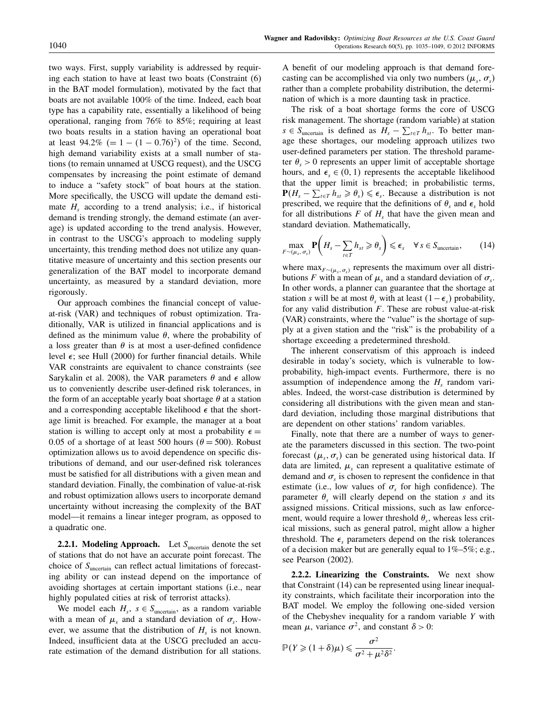two ways. First, supply variability is addressed by requiring each station to have at least two boats (Constraint (6) in the BAT model formulation), motivated by the fact that boats are not available 100% of the time. Indeed, each boat type has a capability rate, essentially a likelihood of being operational, ranging from 76% to 85%; requiring at least two boats results in a station having an operational boat at least 94.2%  $(= 1 - (1 - 0.76)^2)$  of the time. Second, high demand variability exists at a small number of stations (to remain unnamed at USCG request), and the USCG compensates by increasing the point estimate of demand to induce a "safety stock" of boat hours at the station. More specifically, the USCG will update the demand estimate  $H_s$  according to a trend analysis; i.e., if historical demand is trending strongly, the demand estimate (an average) is updated according to the trend analysis. However, in contrast to the USCG's approach to modeling supply uncertainty, this trending method does not utilize any quantitative measure of uncertainty and this section presents our generalization of the BAT model to incorporate demand uncertainty, as measured by a standard deviation, more rigorously.

Our approach combines the financial concept of valueat-risk (VAR) and techniques of robust optimization. Traditionally, VAR is utilized in financial applications and is defined as the minimum value  $\theta$ , where the probability of a loss greater than  $\theta$  is at most a user-defined confidence level  $\epsilon$ ; see Hull (2000) for further financial details. While VAR constraints are equivalent to chance constraints (see Sarykalin et al. 2008), the VAR parameters  $\theta$  and  $\epsilon$  allow us to conveniently describe user-defined risk tolerances, in the form of an acceptable yearly boat shortage  $\theta$  at a station and a corresponding acceptable likelihood  $\epsilon$  that the shortage limit is breached. For example, the manager at a boat station is willing to accept only at most a probability  $\epsilon =$ 0.05 of a shortage of at least 500 hours ( $\theta = 500$ ). Robust optimization allows us to avoid dependence on specific distributions of demand, and our user-defined risk tolerances must be satisfied for all distributions with a given mean and standard deviation. Finally, the combination of value-at-risk and robust optimization allows users to incorporate demand uncertainty without increasing the complexity of the BAT model—it remains a linear integer program, as opposed to a quadratic one.

**2.2.1. Modeling Approach.** Let  $S<sub>uncertain</sub>$  denote the set of stations that do not have an accurate point forecast. The choice of  $S<sub>uncertain</sub>$  can reflect actual limitations of forecasting ability or can instead depend on the importance of avoiding shortages at certain important stations (i.e., near highly populated cities at risk of terrorist attacks).

We model each  $H_s$ ,  $s \in S_{\text{uncertain}}$ , as a random variable with a mean of  $\mu_s$  and a standard deviation of  $\sigma_s$ . However, we assume that the distribution of  $H<sub>s</sub>$  is not known. Indeed, insufficient data at the USCG precluded an accurate estimation of the demand distribution for all stations.

A benefit of our modeling approach is that demand forecasting can be accomplished via only two numbers  $(\mu_s, \sigma_s)$ rather than a complete probability distribution, the determination of which is a more daunting task in practice.

The risk of a boat shortage forms the core of USCG risk management. The shortage (random variable) at station  $s \in S_{\text{uncertain}}$  is defined as  $H_s - \sum_{t \in T} h_{st}$ . To better manage these shortages, our modeling approach utilizes two user-defined parameters per station. The threshold parameter  $\theta_s > 0$  represents an upper limit of acceptable shortage hours, and  $\epsilon_{s} \in (0, 1)$  represents the acceptable likelihood that the upper limit is breached; in probabilistic terms,  $\mathbf{P}(H_s - \sum_{t \in T} h_{st} \geq \theta_s) \leq \epsilon_s$ . Because a distribution is not prescribed, we require that the definitions of  $\theta_s$  and  $\epsilon_s$  hold for all distributions  $F$  of  $H_s$  that have the given mean and standard deviation. Mathematically,

$$
\max_{F \sim (\mu_s, \sigma_s)} \mathbf{P}\bigg(H_s - \sum_{t \in T} h_{st} \geq \theta_s\bigg) \leq \epsilon_s \quad \forall s \in S_{\text{uncertain}},\tag{14}
$$

where  $\max_{F \sim (\mu_s, \sigma_s)}$  represents the maximum over all distributions F with a mean of  $\mu_s$  and a standard deviation of  $\sigma_s$ . In other words, a planner can guarantee that the shortage at station s will be at most  $\theta_s$  with at least  $(1 - \epsilon_s)$  probability, for any valid distribution  $F$ . These are robust value-at-risk (VAR) constraints, where the "value" is the shortage of supply at a given station and the "risk" is the probability of a shortage exceeding a predetermined threshold.

The inherent conservatism of this approach is indeed desirable in today's society, which is vulnerable to lowprobability, high-impact events. Furthermore, there is no assumption of independence among the  $H_s$  random variables. Indeed, the worst-case distribution is determined by considering all distributions with the given mean and standard deviation, including those marginal distributions that are dependent on other stations' random variables.

Finally, note that there are a number of ways to generate the parameters discussed in this section. The two-point forecast  $(\mu_s, \sigma_s)$  can be generated using historical data. If data are limited,  $\mu_s$  can represent a qualitative estimate of demand and  $\sigma_s$  is chosen to represent the confidence in that estimate (i.e., low values of  $\sigma_s$  for high confidence). The parameter  $\theta_s$  will clearly depend on the station s and its assigned missions. Critical missions, such as law enforcement, would require a lower threshold  $\theta_s$ , whereas less critical missions, such as general patrol, might allow a higher threshold. The  $\epsilon$ , parameters depend on the risk tolerances of a decision maker but are generally equal to  $1\% - 5\%$ ; e.g., see Pearson (2002).

2.2.2. Linearizing the Constraints. We next show that Constraint (14) can be represented using linear inequality constraints, which facilitate their incorporation into the BAT model. We employ the following one-sided version of the Chebyshev inequality for a random variable Y with mean  $\mu$ , variance  $\sigma^2$ , and constant  $\delta > 0$ :

$$
\mathbb{P}(Y \geqslant (1+\delta)\mu) \leqslant \frac{\sigma^2}{\sigma^2 + \mu^2 \delta^2}.
$$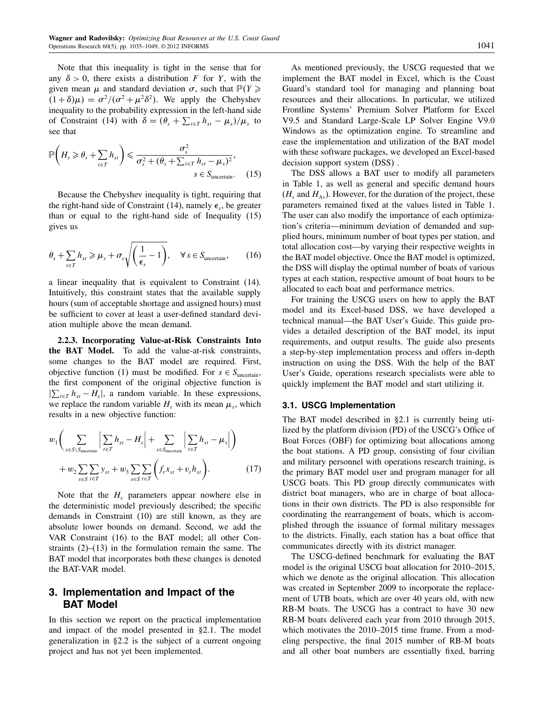Note that this inequality is tight in the sense that for any  $\delta > 0$ , there exists a distribution F for Y, with the given mean  $\mu$  and standard deviation  $\sigma$ , such that  $\mathbb{P}(Y \geq$  $(1+\delta)\mu$  =  $\sigma^2/(\sigma^2 + \mu^2 \delta^2)$ . We apply the Chebyshev inequality to the probability expression in the left-hand side of Constraint (14) with  $\delta = (\theta_s + \sum_{t \in T} h_{st} - \mu_s)/\mu_s$  to see that

$$
\mathbb{P}\left(H_s \geq \theta_s + \sum_{t \in T} h_{st}\right) \leq \frac{\sigma_s^2}{\sigma_s^2 + (\theta_s + \sum_{t \in T} h_{st} - \mu_s)^2},
$$
  
s \in S<sub>uncertain</sub>. (15)

Because the Chebyshev inequality is tight, requiring that the right-hand side of Constraint (14), namely  $\epsilon_s$ , be greater than or equal to the right-hand side of Inequality (15) gives us

$$
\theta_s + \sum_{t \in T} h_{st} \ge \mu_s + \sigma_s \sqrt{\left(\frac{1}{\epsilon_s} - 1\right)}, \quad \forall s \in S_{\text{uncertain}}, \tag{16}
$$

a linear inequality that is equivalent to Constraint (14). Intuitively, this constraint states that the available supply hours (sum of acceptable shortage and assigned hours) must be sufficient to cover at least a user-defined standard deviation multiple above the mean demand.

2.2.3. Incorporating Value-at-Risk Constraints Into the BAT Model. To add the value-at-risk constraints, some changes to the BAT model are required. First, objective function (1) must be modified. For  $s \in S_{\text{uncertain}}$ , the first component of the original objective function is  $|\sum_{t \in T} h_{st} - H_s|$ , a random variable. In these expressions, we replace the random variable  $H_s$  with its mean  $\mu_s$ , which results in a new objective function:

$$
w_1 \bigg( \sum_{s \in S \setminus S_{\text{uncertain}}} \left| \sum_{t \in T} h_{st} - H_s \right| + \sum_{s \in S_{\text{uncertain}}} \left| \sum_{t \in T} h_{st} - \mu_s \right| \bigg) + w_2 \sum_{s \in S} \sum_{t \in T} y_{st} + w_3 \sum_{s \in S} \sum_{t \in T} \left( f_t x_{st} + v_t h_{st} \right).
$$
 (17)

Note that the  $H_s$  parameters appear nowhere else in the deterministic model previously described; the specific demands in Constraint (10) are still known, as they are absolute lower bounds on demand. Second, we add the VAR Constraint (16) to the BAT model; all other Constraints  $(2)$ – $(13)$  in the formulation remain the same. The BAT model that incorporates both these changes is denoted the BAT-VAR model.

# 3. Implementation and Impact of the BAT Model

In this section we report on the practical implementation and impact of the model presented in §2.1. The model generalization in §2.2 is the subject of a current ongoing project and has not yet been implemented.

As mentioned previously, the USCG requested that we implement the BAT model in Excel, which is the Coast Guard's standard tool for managing and planning boat resources and their allocations. In particular, we utilized Frontline Systems' Premium Solver Platform for Excel V9.5 and Standard Large-Scale LP Solver Engine V9.0 Windows as the optimization engine. To streamline and ease the implementation and utilization of the BAT model with these software packages, we developed an Excel-based decision support system (DSS) .

The DSS allows a BAT user to modify all parameters in Table 1, as well as general and specific demand hours  $(H<sub>s</sub>$  and  $H<sub>As</sub>$ ). However, for the duration of the project, these parameters remained fixed at the values listed in Table 1. The user can also modify the importance of each optimization's criteria—minimum deviation of demanded and supplied hours, minimum number of boat types per station, and total allocation cost—by varying their respective weights in the BAT model objective. Once the BAT model is optimized, the DSS will display the optimal number of boats of various types at each station, respective amount of boat hours to be allocated to each boat and performance metrics.

For training the USCG users on how to apply the BAT model and its Excel-based DSS, we have developed a technical manual—the BAT User's Guide. This guide provides a detailed description of the BAT model, its input requirements, and output results. The guide also presents a step-by-step implementation process and offers in-depth instruction on using the DSS. With the help of the BAT User's Guide, operations research specialists were able to quickly implement the BAT model and start utilizing it.

#### 3.1. USCG Implementation

The BAT model described in §2.1 is currently being utilized by the platform division (PD) of the USCG's Office of Boat Forces (OBF) for optimizing boat allocations among the boat stations. A PD group, consisting of four civilian and military personnel with operations research training, is the primary BAT model user and program manager for all USCG boats. This PD group directly communicates with district boat managers, who are in charge of boat allocations in their own districts. The PD is also responsible for coordinating the rearrangement of boats, which is accomplished through the issuance of formal military messages to the districts. Finally, each station has a boat office that communicates directly with its district manager.

The USCG-defined benchmark for evaluating the BAT model is the original USCG boat allocation for 2010–2015, which we denote as the original allocation. This allocation was created in September 2009 to incorporate the replacement of UTB boats, which are over 40 years old, with new RB-M boats. The USCG has a contract to have 30 new RB-M boats delivered each year from 2010 through 2015, which motivates the 2010–2015 time frame. From a modeling perspective, the final 2015 number of RB-M boats and all other boat numbers are essentially fixed, barring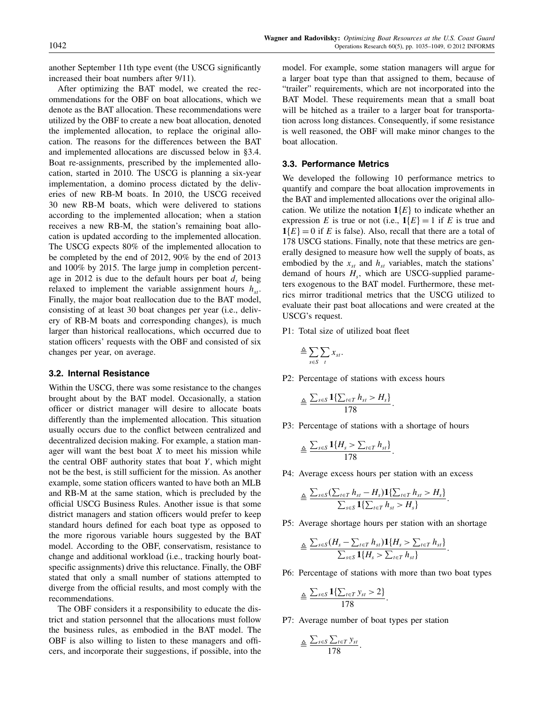another September 11th type event (the USCG significantly increased their boat numbers after 9/11).

After optimizing the BAT model, we created the recommendations for the OBF on boat allocations, which we denote as the BAT allocation. These recommendations were utilized by the OBF to create a new boat allocation, denoted the implemented allocation, to replace the original allocation. The reasons for the differences between the BAT and implemented allocations are discussed below in §3.4. Boat re-assignments, prescribed by the implemented allocation, started in 2010. The USCG is planning a six-year implementation, a domino process dictated by the deliveries of new RB-M boats. In 2010, the USCG received 30 new RB-M boats, which were delivered to stations according to the implemented allocation; when a station receives a new RB-M, the station's remaining boat allocation is updated according to the implemented allocation. The USCG expects 80% of the implemented allocation to be completed by the end of 2012, 90% by the end of 2013 and 100% by 2015. The large jump in completion percentage in 2012 is due to the default hours per boat  $d_t$ , being relaxed to implement the variable assignment hours  $h_{st}$ . Finally, the major boat reallocation due to the BAT model, consisting of at least 30 boat changes per year (i.e., delivery of RB-M boats and corresponding changes), is much larger than historical reallocations, which occurred due to station officers' requests with the OBF and consisted of six changes per year, on average.

#### 3.2. Internal Resistance

Within the USCG, there was some resistance to the changes brought about by the BAT model. Occasionally, a station officer or district manager will desire to allocate boats differently than the implemented allocation. This situation usually occurs due to the conflict between centralized and decentralized decision making. For example, a station manager will want the best boat  $X$  to meet his mission while the central OBF authority states that boat  $Y$ , which might not be the best, is still sufficient for the mission. As another example, some station officers wanted to have both an MLB and RB-M at the same station, which is precluded by the official USCG Business Rules. Another issue is that some district managers and station officers would prefer to keep standard hours defined for each boat type as opposed to the more rigorous variable hours suggested by the BAT model. According to the OBF, conservatism, resistance to change and additional workload (i.e., tracking hourly boatspecific assignments) drive this reluctance. Finally, the OBF stated that only a small number of stations attempted to diverge from the official results, and most comply with the recommendations.

The OBF considers it a responsibility to educate the district and station personnel that the allocations must follow the business rules, as embodied in the BAT model. The OBF is also willing to listen to these managers and officers, and incorporate their suggestions, if possible, into the model. For example, some station managers will argue for a larger boat type than that assigned to them, because of "trailer" requirements, which are not incorporated into the BAT Model. These requirements mean that a small boat will be hitched as a trailer to a larger boat for transportation across long distances. Consequently, if some resistance is well reasoned, the OBF will make minor changes to the boat allocation.

#### 3.3. Performance Metrics

We developed the following 10 performance metrics to quantify and compare the boat allocation improvements in the BAT and implemented allocations over the original allocation. We utilize the notation  $1\{E\}$  to indicate whether an expression E is true or not (i.e.,  $1\{E\} = 1$  if E is true and  $1{E} = 0$  if E is false). Also, recall that there are a total of 178 USCG stations. Finally, note that these metrics are generally designed to measure how well the supply of boats, as embodied by the  $x_{st}$  and  $h_{st}$  variables, match the stations' demand of hours  $H_s$ , which are USCG-supplied parameters exogenous to the BAT model. Furthermore, these metrics mirror traditional metrics that the USCG utilized to evaluate their past boat allocations and were created at the USCG's request.

P1: Total size of utilized boat fleet

$$
\triangleq \sum_{s \in S} \sum_t x_{st}.
$$

P2: Percentage of stations with excess hours

$$
\triangleq \frac{\sum_{s\in S} \mathbf{1}\{\sum_{t\in T} h_{st} > H_s\}}{178}.
$$

P3: Percentage of stations with a shortage of hours

$$
\triangleq \frac{\sum_{s\in S} \mathbf{1}\{H_s > \sum_{t\in T} h_{st}\}}{178}.
$$

P4: Average excess hours per station with an excess

$$
\triangleq \frac{\sum_{s\in S}\left(\sum_{t\in T}h_{st}-H_s\right)\mathbf{1}\left\{\sum_{t\in T}h_{st}>H_s\right\}}{\sum_{s\in S}\mathbf{1}\left\{\sum_{t\in T}h_{st}>H_s\right\}}.
$$

P5: Average shortage hours per station with an shortage

$$
\triangleq \frac{\sum_{s\in S} (H_s - \sum_{t\in T} h_{st}) \mathbf{1}\{H_s > \sum_{t\in T} h_{st}\}}{\sum_{s\in S} \mathbf{1}\{H_s > \sum_{t\in T} h_{st}\}}.
$$

P6: Percentage of stations with more than two boat types

$$
\triangleq \frac{\sum_{s\in S} \mathbf{1}\{\sum_{t\in T} y_{st} > 2\}}{178}.
$$

P7: Average number of boat types per station

.

$$
\triangleq \frac{\sum_{s \in S} \sum_{t \in T} y_{st}}{178}
$$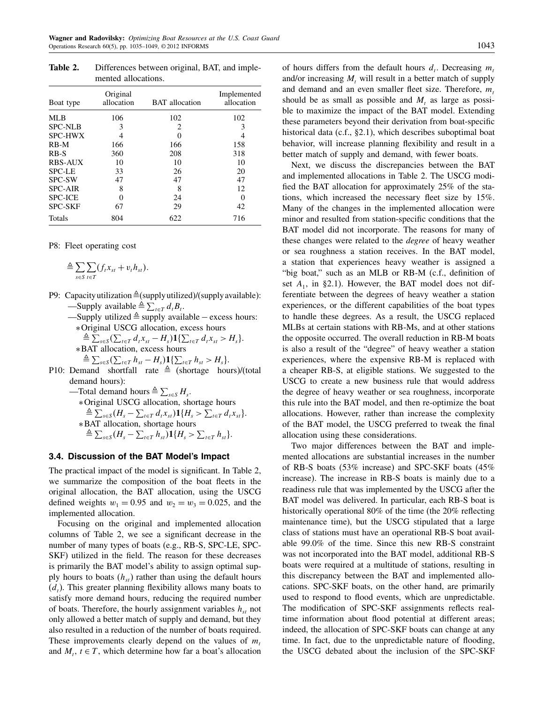| Boat type      | Original<br>allocation | <b>BAT</b> allocation | Implemented<br>allocation |
|----------------|------------------------|-----------------------|---------------------------|
| <b>MLB</b>     | 106                    | 102                   | 102                       |
| <b>SPC-NLB</b> | 3                      | 2                     | 3                         |
| <b>SPC-HWX</b> | 4                      |                       | 4                         |
| $RB-M$         | 166                    | 166                   | 158                       |
| $RB-S$         | 360                    | 208                   | 318                       |
| <b>RBS-AUX</b> | 10                     | 10                    | 10                        |
| <b>SPC-LE</b>  | 33                     | 26                    | 20                        |
| <b>SPC-SW</b>  | 47                     | 47                    | 47                        |
| <b>SPC-AIR</b> | 8                      | 8                     | 12                        |
| <b>SPC-ICE</b> | 0                      | 24                    | 0                         |
| <b>SPC-SKF</b> | 67                     | 29                    | 42                        |
| <b>Totals</b>  | 804                    | 622                   | 716                       |

Table 2. Differences between original, BAT, and implemented allocations.

P8: Fleet operating cost

$$
\triangleq \sum_{s \in S} \sum_{t \in T} (f_t x_{st} + v_t h_{st}).
$$

- P9: Capacity utilization  $\triangleq$ (supply utilized)/(supply available): —Supply available  $\triangleq \sum_{t \in T} d_t B_t$ .
	- —Supply utilized  $\triangleq$  supply available excess hours: ∗Original USCG allocation, excess hours
		- $\triangleq \sum_{s\in S} (\sum_{t\in T} d_t x_{st} H_s) \mathbf{1} \{\sum_{t\in T} d_t x_{st} > H_s\}.$ ∗BAT allocation, excess hours

$$
\triangleq \sum_{s\in S} (\sum_{t\in T} h_{st} - H_s) \mathbf{1} \{ \sum_{t\in T} h_{st} > H_s \}.
$$

P10: Demand shortfall rate  $\triangleq$  (shortage hours)/(total demand hours):

—Total demand hours  $\triangleq \sum_{s \in S} H_s$ . ∗Original USCG allocation, shortage hours  $\triangleq \sum_{s\in S} (H_s - \sum_{t\in T} d_t x_{st}) \mathbf{1}_{\{H_s > \sum_{t\in T} d_t x_{st}\}.$ ∗BAT allocation, shortage hours  $\triangleq \sum_{s\in S} (H_s - \sum_{t\in T} h_{st}) \mathbf{1} \{H_s > \sum_{t\in T} h_{st}\}.$ 

## 3.4. Discussion of the BAT Model's Impact

The practical impact of the model is significant. In Table 2, we summarize the composition of the boat fleets in the original allocation, the BAT allocation, using the USCG defined weights  $w_1 = 0.95$  and  $w_2 = w_3 = 0.025$ , and the implemented allocation.

Focusing on the original and implemented allocation columns of Table 2, we see a significant decrease in the number of many types of boats (e.g., RB-S, SPC-LE, SPC-SKF) utilized in the field. The reason for these decreases is primarily the BAT model's ability to assign optimal supply hours to boats  $(h_{st})$  rather than using the default hours  $(d_t)$ . This greater planning flexibility allows many boats to satisfy more demand hours, reducing the required number of boats. Therefore, the hourly assignment variables  $h_{st}$  not only allowed a better match of supply and demand, but they also resulted in a reduction of the number of boats required. These improvements clearly depend on the values of  $m_t$ and  $M_t$ ,  $t \in T$ , which determine how far a boat's allocation

of hours differs from the default hours  $d_t$ . Decreasing  $m_t$ and/or increasing  $M_t$ , will result in a better match of supply and demand and an even smaller fleet size. Therefore,  $m_t$ should be as small as possible and  $M_t$  as large as possible to maximize the impact of the BAT model. Extending these parameters beyond their derivation from boat-specific historical data (c.f., §2.1), which describes suboptimal boat behavior, will increase planning flexibility and result in a better match of supply and demand, with fewer boats.

Next, we discuss the discrepancies between the BAT and implemented allocations in Table 2. The USCG modified the BAT allocation for approximately 25% of the stations, which increased the necessary fleet size by 15%. Many of the changes in the implemented allocation were minor and resulted from station-specific conditions that the BAT model did not incorporate. The reasons for many of these changes were related to the degree of heavy weather or sea roughness a station receives. In the BAT model, a station that experiences heavy weather is assigned a "big boat," such as an MLB or RB-M (c.f., definition of set  $A_1$ , in §2.1). However, the BAT model does not differentiate between the degrees of heavy weather a station experiences, or the different capabilities of the boat types to handle these degrees. As a result, the USCG replaced MLBs at certain stations with RB-Ms, and at other stations the opposite occurred. The overall reduction in RB-M boats is also a result of the "degree" of heavy weather a station experiences, where the expensive RB-M is replaced with a cheaper RB-S, at eligible stations. We suggested to the USCG to create a new business rule that would address the degree of heavy weather or sea roughness, incorporate this rule into the BAT model, and then re-optimize the boat allocations. However, rather than increase the complexity of the BAT model, the USCG preferred to tweak the final allocation using these considerations.

Two major differences between the BAT and implemented allocations are substantial increases in the number of RB-S boats (53% increase) and SPC-SKF boats (45% increase). The increase in RB-S boats is mainly due to a readiness rule that was implemented by the USCG after the BAT model was delivered. In particular, each RB-S boat is historically operational 80% of the time (the 20% reflecting maintenance time), but the USCG stipulated that a large class of stations must have an operational RB-S boat available 99.0% of the time. Since this new RB-S constraint was not incorporated into the BAT model, additional RB-S boats were required at a multitude of stations, resulting in this discrepancy between the BAT and implemented allocations. SPC-SKF boats, on the other hand, are primarily used to respond to flood events, which are unpredictable. The modification of SPC-SKF assignments reflects realtime information about flood potential at different areas; indeed, the allocation of SPC-SKF boats can change at any time. In fact, due to the unpredictable nature of flooding, the USCG debated about the inclusion of the SPC-SKF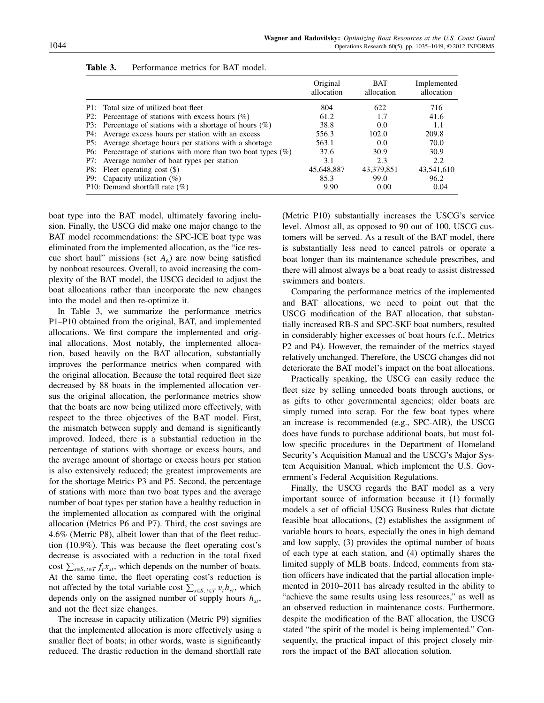|                                                                 | Original<br>allocation | <b>BAT</b><br>allocation | Implemented<br>allocation |
|-----------------------------------------------------------------|------------------------|--------------------------|---------------------------|
| P1: Total size of utilized boat fleet                           | 804                    | 622                      | 716                       |
| P2: Percentage of stations with excess hours $(\%)$             | 61.2                   | 1.7                      | 41.6                      |
| P3: Percentage of stations with a shortage of hours $(\%)$      | 38.8                   | 0.0                      | 1.1                       |
| P4: Average excess hours per station with an excess             | 556.3                  | 102.0                    | 209.8                     |
| P5: Average shortage hours per stations with a shortage         | 563.1                  | 0.0                      | 70.0                      |
| P6: Percentage of stations with more than two boat types $(\%)$ | 37.6                   | 30.9                     | 30.9                      |
| P7: Average number of boat types per station                    | 3.1                    | 2.3                      | 2.2                       |
| $P8$ : Fleet operating cost $(\$)$                              | 45,648,887             | 43,379,851               | 43,541,610                |
| P9: Capacity utilization $(\%)$                                 | 85.3                   | 99.0                     | 96.2                      |
| P10: Demand shortfall rate $(\%)$                               | 9.90                   | 0.00                     | 0.04                      |

Table 3. Performance metrics for BAT model.

boat type into the BAT model, ultimately favoring inclusion. Finally, the USCG did make one major change to the BAT model recommendations: the SPC-ICE boat type was eliminated from the implemented allocation, as the "ice rescue short haul" missions (set  $A_6$ ) are now being satisfied by nonboat resources. Overall, to avoid increasing the complexity of the BAT model, the USCG decided to adjust the boat allocations rather than incorporate the new changes into the model and then re-optimize it.

In Table 3, we summarize the performance metrics P1–P10 obtained from the original, BAT, and implemented allocations. We first compare the implemented and original allocations. Most notably, the implemented allocation, based heavily on the BAT allocation, substantially improves the performance metrics when compared with the original allocation. Because the total required fleet size decreased by 88 boats in the implemented allocation versus the original allocation, the performance metrics show that the boats are now being utilized more effectively, with respect to the three objectives of the BAT model. First, the mismatch between supply and demand is significantly improved. Indeed, there is a substantial reduction in the percentage of stations with shortage or excess hours, and the average amount of shortage or excess hours per station is also extensively reduced; the greatest improvements are for the shortage Metrics P3 and P5. Second, the percentage of stations with more than two boat types and the average number of boat types per station have a healthy reduction in the implemented allocation as compared with the original allocation (Metrics P6 and P7). Third, the cost savings are 4.6% (Metric P8), albeit lower than that of the fleet reduction (10.9%). This was because the fleet operating cost's decrease is associated with a reduction in the total fixed cost  $\sum_{s \in S, t \in T} f_t x_{st}$ , which depends on the number of boats. At the same time, the fleet operating cost's reduction is not affected by the total variable cost  $\sum_{s \in S, t \in T} v_t h_{st}$ , which depends only on the assigned number of supply hours  $h_{st}$ , and not the fleet size changes.

The increase in capacity utilization (Metric P9) signifies that the implemented allocation is more effectively using a smaller fleet of boats; in other words, waste is significantly reduced. The drastic reduction in the demand shortfall rate

(Metric P10) substantially increases the USCG's service level. Almost all, as opposed to 90 out of 100, USCG customers will be served. As a result of the BAT model, there is substantially less need to cancel patrols or operate a boat longer than its maintenance schedule prescribes, and there will almost always be a boat ready to assist distressed swimmers and boaters.

Comparing the performance metrics of the implemented and BAT allocations, we need to point out that the USCG modification of the BAT allocation, that substantially increased RB-S and SPC-SKF boat numbers, resulted in considerably higher excesses of boat hours (c.f., Metrics P2 and P4). However, the remainder of the metrics stayed relatively unchanged. Therefore, the USCG changes did not deteriorate the BAT model's impact on the boat allocations.

Practically speaking, the USCG can easily reduce the fleet size by selling unneeded boats through auctions, or as gifts to other governmental agencies; older boats are simply turned into scrap. For the few boat types where an increase is recommended (e.g., SPC-AIR), the USCG does have funds to purchase additional boats, but must follow specific procedures in the Department of Homeland Security's Acquisition Manual and the USCG's Major System Acquisition Manual, which implement the U.S. Government's Federal Acquisition Regulations.

Finally, the USCG regards the BAT model as a very important source of information because it (1) formally models a set of official USCG Business Rules that dictate feasible boat allocations, (2) establishes the assignment of variable hours to boats, especially the ones in high demand and low supply, (3) provides the optimal number of boats of each type at each station, and (4) optimally shares the limited supply of MLB boats. Indeed, comments from station officers have indicated that the partial allocation implemented in 2010–2011 has already resulted in the ability to "achieve the same results using less resources," as well as an observed reduction in maintenance costs. Furthermore, despite the modification of the BAT allocation, the USCG stated "the spirit of the model is being implemented." Consequently, the practical impact of this project closely mirrors the impact of the BAT allocation solution.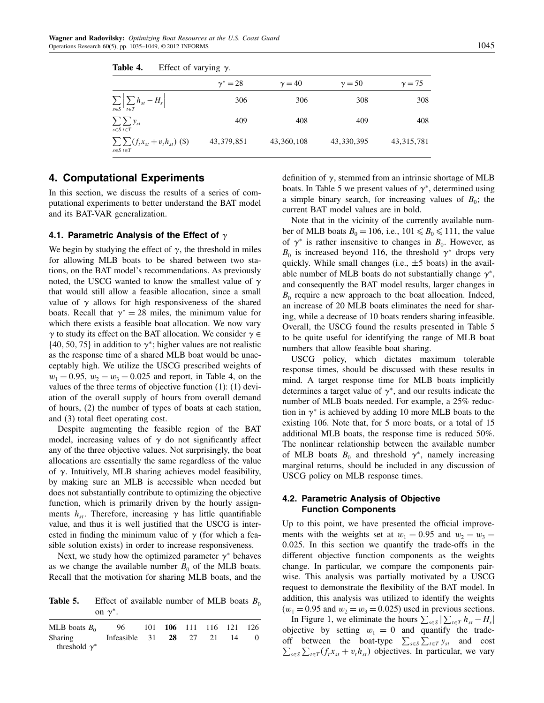| Table 4.                                                     | Effect of varying $\gamma$ . |               |               |               |
|--------------------------------------------------------------|------------------------------|---------------|---------------|---------------|
|                                                              | $\gamma^* = 28$              | $\gamma = 40$ | $\gamma = 50$ | $\gamma = 75$ |
| $\sum_{s \in S} \left  \sum_{t \in T} h_{st} - H_s \right $  | 306                          | 306           | 308           | 308           |
| $\sum \sum y_{st}$<br>$s \in S$ $t \in T$                    | 409                          | 408           | 409           | 408           |
| $\sum (f_t x_{st} + v_t h_{st})$ (\$)<br>$s \in S$ $t \in T$ | 43,379,851                   | 43, 360, 108  | 43,330,395    | 43, 315, 781  |

# 4. Computational Experiments

In this section, we discuss the results of a series of computational experiments to better understand the BAT model and its BAT-VAR generalization.

#### 4.1. Parametric Analysis of the Effect of  $\gamma$

We begin by studying the effect of  $\gamma$ , the threshold in miles for allowing MLB boats to be shared between two stations, on the BAT model's recommendations. As previously noted, the USCG wanted to know the smallest value of  $\gamma$ that would still allow a feasible allocation, since a small value of  $\gamma$  allows for high responsiveness of the shared boats. Recall that  $\gamma^* = 28$  miles, the minimum value for which there exists a feasible boat allocation. We now vary  $\gamma$  to study its effect on the BAT allocation. We consider  $\gamma \in$  $\{40, 50, 75\}$  in addition to  $\gamma^*$ ; higher values are not realistic as the response time of a shared MLB boat would be unacceptably high. We utilize the USCG prescribed weights of  $w_1 = 0.95$ ,  $w_2 = w_3 = 0.025$  and report, in Table 4, on the values of the three terms of objective function (1): (1) deviation of the overall supply of hours from overall demand of hours, (2) the number of types of boats at each station, and (3) total fleet operating cost.

Despite augmenting the feasible region of the BAT model, increasing values of  $\gamma$  do not significantly affect any of the three objective values. Not surprisingly, the boat allocations are essentially the same regardless of the value of  $\gamma$ . Intuitively, MLB sharing achieves model feasibility, by making sure an MLB is accessible when needed but does not substantially contribute to optimizing the objective function, which is primarily driven by the hourly assignments  $h_{st}$ . Therefore, increasing  $\gamma$  has little quantifiable value, and thus it is well justified that the USCG is interested in finding the minimum value of  $\gamma$  (for which a feasible solution exists) in order to increase responsiveness.

Next, we study how the optimized parameter  $\gamma^*$  behaves as we change the available number  $B_0$  of the MLB boats. Recall that the motivation for sharing MLB boats, and the

**Table 5.** Effect of available number of MLB boats  $B_0$ on  $\gamma^*$ .

| MLB boats $B_0$                 | 96                             | 101 106 111 116 121 126 |  |     |  |
|---------------------------------|--------------------------------|-------------------------|--|-----|--|
| Sharing<br>threshold $\gamma^*$ | Infeasible $31 \t28 \t27 \t21$ |                         |  | -14 |  |

definition of  $\gamma$ , stemmed from an intrinsic shortage of MLB boats. In Table 5 we present values of  $\gamma^*$ , determined using a simple binary search, for increasing values of  $B_0$ ; the current BAT model values are in bold.

Note that in the vicinity of the currently available number of MLB boats  $B_0 = 106$ , i.e.,  $101 \le B_0 \le 111$ , the value of  $\gamma^*$  is rather insensitive to changes in  $B_0$ . However, as  $B_0$  is increased beyond 116, the threshold  $\gamma^*$  drops very quickly. While small changes (i.e.,  $\pm 5$  boats) in the available number of MLB boats do not substantially change  $\gamma^*$ , and consequently the BAT model results, larger changes in  $B_0$  require a new approach to the boat allocation. Indeed, an increase of 20 MLB boats eliminates the need for sharing, while a decrease of 10 boats renders sharing infeasible. Overall, the USCG found the results presented in Table 5 to be quite useful for identifying the range of MLB boat numbers that allow feasible boat sharing.

USCG policy, which dictates maximum tolerable response times, should be discussed with these results in mind. A target response time for MLB boats implicitly determines a target value of  $\gamma^*$ , and our results indicate the number of MLB boats needed. For example, a 25% reduction in  $\gamma^*$  is achieved by adding 10 more MLB boats to the existing 106. Note that, for 5 more boats, or a total of 15 additional MLB boats, the response time is reduced 50%. The nonlinear relationship between the available number of MLB boats  $B_0$  and threshold  $\gamma^*$ , namely increasing marginal returns, should be included in any discussion of USCG policy on MLB response times.

## 4.2. Parametric Analysis of Objective Function Components

Up to this point, we have presented the official improvements with the weights set at  $w_1 = 0.95$  and  $w_2 = w_3 = 0.95$  $0.025$ . In this section we quantify the trade-offs in the different objective function components as the weights change. In particular, we compare the components pairwise. This analysis was partially motivated by a USCG request to demonstrate the flexibility of the BAT model. In addition, this analysis was utilized to identify the weights  $(w_1 = 0.95$  and  $w_2 = w_3 = 0.025)$  used in previous sections.

In Figure 1, we eliminate the hours  $\sum_{s \in S} |\sum_{t \in T} h_{st} - H_s|$ objective by setting  $w_1 = 0$  and quantify the tradeoff between the boat-type  $\sum_{s \in S} \sum_{t \in T} y_{st}$  and cost  $\sum_{s \in S} \sum_{t \in T} (f_t x_{st} + v_t h_{st})$  objectives. In particular, we vary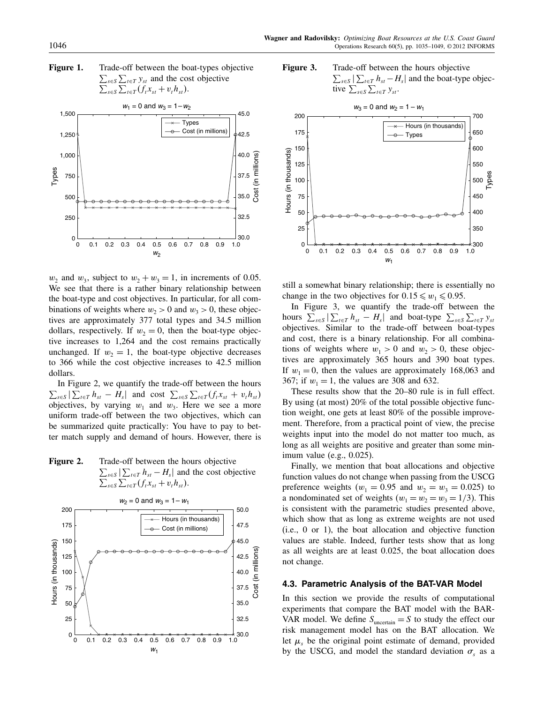

Figure 1. Trade-off between the boat-types objective

 $w_2$  and  $w_3$ , subject to  $w_2 + w_3 = 1$ , in increments of 0.05. We see that there is a rather binary relationship between the boat-type and cost objectives. In particular, for all combinations of weights where  $w_2 > 0$  and  $w_3 > 0$ , these objectives are approximately 377 total types and 34.5 million dollars, respectively. If  $w_2 = 0$ , then the boat-type objective increases to 1,264 and the cost remains practically unchanged. If  $w_2 = 1$ , the boat-type objective decreases to 366 while the cost objective increases to 42.5 million dollars.

In Figure 2, we quantify the trade-off between the hours  $\sum_{s \in S} |\sum_{t \in T} h_{st} - H_s|$  and cost  $\sum_{s \in S} \sum_{t \in T} (f_t x_{st} + v_t h_{st})$ objectives, by varying  $w_1$  and  $w_3$ . Here we see a more uniform trade-off between the two objectives, which can be summarized quite practically: You have to pay to better match supply and demand of hours. However, there is









still a somewhat binary relationship; there is essentially no change in the two objectives for  $0.15 \leq w_1 \leq 0.95$ .

In Figure 3, we quantify the trade-off between the hours  $\sum_{s \in S} |\sum_{t \in T} h_{st} - H_s|$  and boat-type  $\sum_{s \in S} \sum_{t \in T} y_{st}$ objectives. Similar to the trade-off between boat-types and cost, there is a binary relationship. For all combinations of weights where  $w_1 > 0$  and  $w_2 > 0$ , these objectives are approximately 365 hours and 390 boat types. If  $w_1 = 0$ , then the values are approximately 168,063 and 367; if  $w_1 = 1$ , the values are 308 and 632.

These results show that the 20–80 rule is in full effect. By using (at most) 20% of the total possible objective function weight, one gets at least 80% of the possible improvement. Therefore, from a practical point of view, the precise weights input into the model do not matter too much, as long as all weights are positive and greater than some minimum value (e.g., 0.025).

Finally, we mention that boat allocations and objective function values do not change when passing from the USCG preference weights ( $w_1 = 0.95$  and  $w_2 = w_3 = 0.025$ ) to a nondominated set of weights  $(w_1 = w_2 = w_3 = 1/3)$ . This is consistent with the parametric studies presented above, which show that as long as extreme weights are not used (i.e., 0 or 1), the boat allocation and objective function values are stable. Indeed, further tests show that as long as all weights are at least  $0.025$ , the boat allocation does not change.

#### 4.3. Parametric Analysis of the BAT-VAR Model

In this section we provide the results of computational experiments that compare the BAT model with the BAR-VAR model. We define  $S_{\text{uncertain}} = S$  to study the effect our risk management model has on the BAT allocation. We let  $\mu<sub>s</sub>$  be the original point estimate of demand, provided by the USCG, and model the standard deviation  $\sigma_s$  as a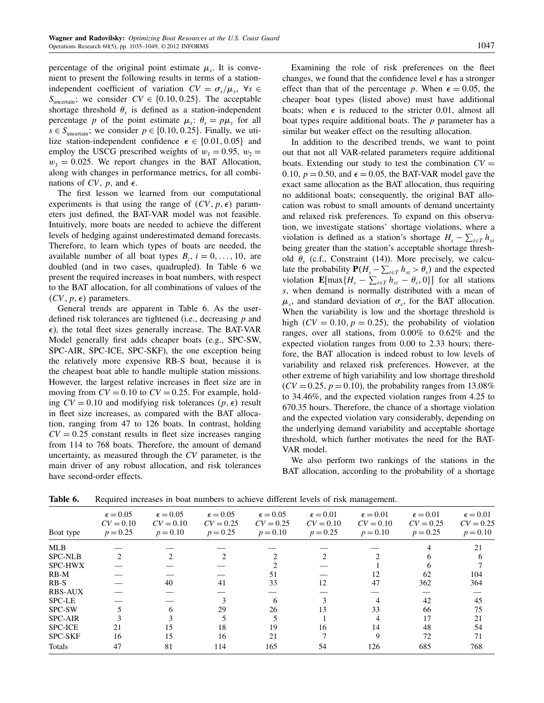percentage of the original point estimate  $\mu_s$ . It is convenient to present the following results in terms of a stationindependent coefficient of variation  $CV = \sigma_s/\mu_s$ ,  $\forall s \in$  $S_{\text{uncertain}}$ ; we consider  $CV \in \{0.10, 0.25\}$ . The acceptable shortage threshold  $\theta_s$  is defined as a station-independent percentage p of the point estimate  $\mu_s$ :  $\theta_s = p\mu_s$  for all  $s \in S_{\text{uncertain}}$ ; we consider  $p \in \{0.10, 0.25\}$ . Finally, we utilize station-independent confidence  $\epsilon \in \{0.01, 0.05\}$  and employ the USCG prescribed weights of  $w_1 = 0.95$ ,  $w_2 =$  $w_3 = 0.025$ . We report changes in the BAT Allocation, along with changes in performance metrics, for all combinations of CV,  $p$ , and  $\epsilon$ .

The first lesson we learned from our computational experiments is that using the range of  $(CV, p, \epsilon)$  parameters just defined, the BAT-VAR model was not feasible. Intuitively, more boats are needed to achieve the different levels of hedging against underestimated demand forecasts. Therefore, to learn which types of boats are needed, the available number of all boat types  $B_i$ ,  $i = 0, ..., 10$ , are doubled (and in two cases, quadrupled). In Table 6 we present the required increases in boat numbers, with respect to the BAT allocation, for all combinations of values of the  $(CV, p, \epsilon)$  parameters.

General trends are apparent in Table 6. As the userdefined risk tolerances are tightened (i.e., decreasing p and  $\epsilon$ ), the total fleet sizes generally increase. The BAT-VAR Model generally first adds cheaper boats (e.g., SPC-SW, SPC-AIR, SPC-ICE, SPC-SKF), the one exception being the relatively more expensive RB-S boat, because it is the cheapest boat able to handle multiple station missions. However, the largest relative increases in fleet size are in moving from  $CV = 0.10$  to  $CV = 0.25$ . For example, holding  $CV = 0.10$  and modifying risk tolerances  $(p, \epsilon)$  result in fleet size increases, as compared with the BAT allocation, ranging from 47 to 126 boats. In contrast, holding  $CV = 0.25$  constant results in fleet size increases ranging from 114 to 768 boats. Therefore, the amount of demand uncertainty, as measured through the CV parameter, is the main driver of any robust allocation, and risk tolerances have second-order effects.

Examining the role of risk preferences on the fleet changes, we found that the confidence level  $\epsilon$  has a stronger effect than that of the percentage p. When  $\epsilon = 0.05$ , the cheaper boat types (listed above) must have additional boats; when  $\epsilon$  is reduced to the stricter 0.01, almost all boat types require additional boats. The  $p$  parameter has a similar but weaker effect on the resulting allocation.

In addition to the described trends, we want to point out that not all VAR-related parameters require additional boats. Extending our study to test the combination  $CV =$ 0.10,  $p = 0.50$ , and  $\epsilon = 0.05$ , the BAT-VAR model gave the exact same allocation as the BAT allocation, thus requiring no additional boats; consequently, the original BAT allocation was robust to small amounts of demand uncertainty and relaxed risk preferences. To expand on this observation, we investigate stations' shortage violations, where a violation is defined as a station's shortage  $H_s - \sum_{t \in T} h_{st}$ being greater than the station's acceptable shortage threshold  $\theta_s$  (c.f., Constraint (14)). More precisely, we calculate the probability  $P(H_s - \sum_{t \in T} h_{st} > \theta_s)$  and the expected violation  $\mathbf{E}[\max\{H_s - \sum_{t \in T} h_{st} - \theta_s, 0\}]$  for all stations s, when demand is normally distributed with a mean of  $\mu_s$ , and standard deviation of  $\sigma_s$ , for the BAT allocation. When the variability is low and the shortage threshold is high  $(CV = 0.10, p = 0.25)$ , the probability of violation ranges, over all stations, from 0.00% to 0.62% and the expected violation ranges from 0.00 to 2.33 hours; therefore, the BAT allocation is indeed robust to low levels of variability and relaxed risk preferences. However, at the other extreme of high variability and low shortage threshold  $(CV = 0.25, p = 0.10)$ , the probability ranges from 13.08% to 34.46%, and the expected violation ranges from 4.25 to 670.35 hours. Therefore, the chance of a shortage violation and the expected violation vary considerably, depending on the underlying demand variability and acceptable shortage threshold, which further motivates the need for the BAT-VAR model.

We also perform two rankings of the stations in the BAT allocation, according to the probability of a shortage

| Boat type      | $\epsilon = 0.05$<br>$CV = 0.10$<br>$p = 0.25$ | $\epsilon = 0.05$<br>$CV = 0.10$<br>$p = 0.10$ | $\epsilon = 0.05$<br>$CV = 0.25$<br>$p = 0.25$ | $\epsilon = 0.05$<br>$CV = 0.25$<br>$p = 0.10$ | $\epsilon = 0.01$<br>$CV = 0.10$<br>$p = 0.25$ | $\epsilon = 0.01$<br>$CV = 0.10$<br>$p = 0.10$ | $\epsilon = 0.01$<br>$CV = 0.25$<br>$p = 0.25$ | $\epsilon = 0.01$<br>$CV = 0.25$<br>$p = 0.10$ |
|----------------|------------------------------------------------|------------------------------------------------|------------------------------------------------|------------------------------------------------|------------------------------------------------|------------------------------------------------|------------------------------------------------|------------------------------------------------|
| <b>MLB</b>     |                                                |                                                |                                                |                                                |                                                |                                                |                                                | 21                                             |
| <b>SPC-NLB</b> |                                                | $\mathcal{D}_{\mathcal{L}}$                    |                                                |                                                |                                                |                                                |                                                | 6                                              |
| <b>SPC-HWX</b> |                                                |                                                |                                                |                                                |                                                |                                                |                                                |                                                |
| $RB-M$         |                                                |                                                |                                                | 51                                             |                                                | 12                                             | 62                                             | 104                                            |
| $RB-S$         |                                                | 40                                             | 41                                             | 33                                             | 12                                             | 47                                             | 362                                            | 364                                            |
| <b>RBS-AUX</b> |                                                |                                                |                                                |                                                |                                                |                                                |                                                |                                                |
| <b>SPC-LE</b>  |                                                |                                                |                                                | 6                                              |                                                |                                                | 42                                             | 45                                             |
| SPC-SW         |                                                | 6                                              | 29                                             | 26                                             | 13                                             | 33                                             | 66                                             | 75                                             |
| <b>SPC-AIR</b> |                                                |                                                |                                                |                                                |                                                |                                                | 17                                             | 21                                             |
| <b>SPC-ICE</b> | 21                                             | 15                                             | 18                                             | 19                                             | 16                                             | 14                                             | 48                                             | 54                                             |
| <b>SPC-SKF</b> | 16                                             | 15                                             | 16                                             | 21                                             |                                                | 9                                              | 72                                             | 71                                             |
| Totals         | 47                                             | 81                                             | 114                                            | 165                                            | 54                                             | 126                                            | 685                                            | 768                                            |

Table 6. Required increases in boat numbers to achieve different levels of risk management.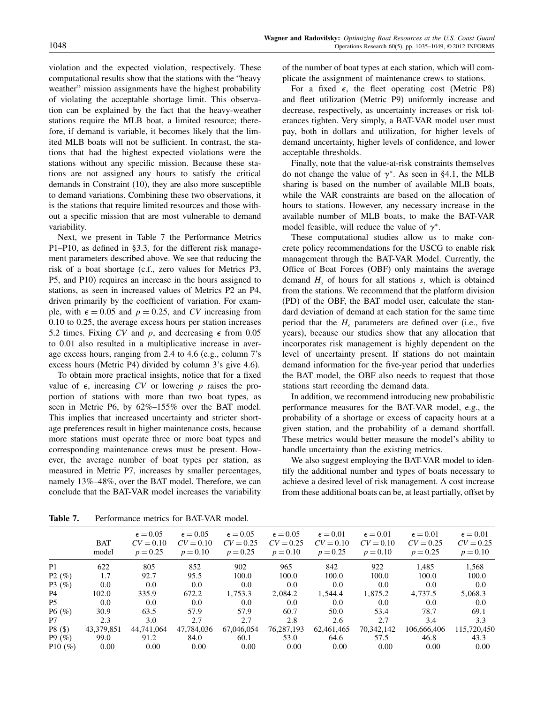violation and the expected violation, respectively. These computational results show that the stations with the "heavy weather" mission assignments have the highest probability of violating the acceptable shortage limit. This observation can be explained by the fact that the heavy-weather stations require the MLB boat, a limited resource; therefore, if demand is variable, it becomes likely that the limited MLB boats will not be sufficient. In contrast, the stations that had the highest expected violations were the stations without any specific mission. Because these stations are not assigned any hours to satisfy the critical demands in Constraint (10), they are also more susceptible to demand variations. Combining these two observations, it is the stations that require limited resources and those without a specific mission that are most vulnerable to demand variability.

Next, we present in Table 7 the Performance Metrics P1–P10, as defined in §3.3, for the different risk management parameters described above. We see that reducing the risk of a boat shortage (c.f., zero values for Metrics P3, P5, and P10) requires an increase in the hours assigned to stations, as seen in increased values of Metrics P2 an P4, driven primarily by the coefficient of variation. For example, with  $\epsilon = 0.05$  and  $p = 0.25$ , and CV increasing from 0.10 to 0.25, the average excess hours per station increases 5.2 times. Fixing CV and p, and decreasing  $\epsilon$  from 0.05 to 0.01 also resulted in a multiplicative increase in average excess hours, ranging from 2.4 to 4.6 (e.g., column 7's excess hours (Metric P4) divided by column 3's give 4.6).

To obtain more practical insights, notice that for a fixed value of  $\epsilon$ , increasing CV or lowering p raises the proportion of stations with more than two boat types, as seen in Metric P6, by 62%–155% over the BAT model. This implies that increased uncertainty and stricter shortage preferences result in higher maintenance costs, because more stations must operate three or more boat types and corresponding maintenance crews must be present. However, the average number of boat types per station, as measured in Metric P7, increases by smaller percentages, namely 13%–48%, over the BAT model. Therefore, we can conclude that the BAT-VAR model increases the variability

of the number of boat types at each station, which will complicate the assignment of maintenance crews to stations.

For a fixed  $\epsilon$ , the fleet operating cost (Metric P8) and fleet utilization (Metric P9) uniformly increase and decrease, respectively, as uncertainty increases or risk tolerances tighten. Very simply, a BAT-VAR model user must pay, both in dollars and utilization, for higher levels of demand uncertainty, higher levels of confidence, and lower acceptable thresholds.

Finally, note that the value-at-risk constraints themselves do not change the value of  $\gamma^*$ . As seen in §4.1, the MLB sharing is based on the number of available MLB boats, while the VAR constraints are based on the allocation of hours to stations. However, any necessary increase in the available number of MLB boats, to make the BAT-VAR model feasible, will reduce the value of  $\gamma^*$ .

These computational studies allow us to make concrete policy recommendations for the USCG to enable risk management through the BAT-VAR Model. Currently, the Office of Boat Forces (OBF) only maintains the average demand  $H_s$  of hours for all stations s, which is obtained from the stations. We recommend that the platform division (PD) of the OBF, the BAT model user, calculate the standard deviation of demand at each station for the same time period that the  $H<sub>s</sub>$  parameters are defined over (i.e., five years), because our studies show that any allocation that incorporates risk management is highly dependent on the level of uncertainty present. If stations do not maintain demand information for the five-year period that underlies the BAT model, the OBF also needs to request that those stations start recording the demand data.

In addition, we recommend introducing new probabilistic performance measures for the BAT-VAR model, e.g., the probability of a shortage or excess of capacity hours at a given station, and the probability of a demand shortfall. These metrics would better measure the model's ability to handle uncertainty than the existing metrics.

We also suggest employing the BAT-VAR model to identify the additional number and types of boats necessary to achieve a desired level of risk management. A cost increase from these additional boats can be, at least partially, offset by

|        | <b>BAT</b><br>model | $\epsilon = 0.05$<br>$CV = 0.10$<br>$p = 0.25$ | $\epsilon = 0.05$<br>$CV = 0.10$<br>$p = 0.10$ | $\epsilon = 0.05$<br>$CV = 0.25$<br>$p = 0.25$ | $\epsilon = 0.05$<br>$CV = 0.25$<br>$p = 0.10$ | $\epsilon = 0.01$<br>$CV = 0.10$<br>$p = 0.25$ | $\epsilon = 0.01$<br>$CV = 0.10$<br>$p = 0.10$ | $\epsilon = 0.01$<br>$CV = 0.25$<br>$p = 0.25$ | $\epsilon = 0.01$<br>$CV = 0.25$<br>$p = 0.10$ |
|--------|---------------------|------------------------------------------------|------------------------------------------------|------------------------------------------------|------------------------------------------------|------------------------------------------------|------------------------------------------------|------------------------------------------------|------------------------------------------------|
| P1.    | 622                 | 805                                            | 852                                            | 902                                            | 965                                            | 842                                            | 922                                            | 1.485                                          | 1,568                                          |
| P2(%)  | 1.7                 | 92.7                                           | 95.5                                           | 100.0                                          | 100.0                                          | 100.0                                          | 100.0                                          | 100.0                                          | 100.0                                          |
| P3(%)  | 0.0                 | 0.0                                            | 0.0                                            | 0.0                                            | 0.0                                            | 0.0                                            | 0.0                                            | 0.0                                            | 0.0                                            |
| P4     | 102.0               | 335.9                                          | 672.2                                          | 1,753.3                                        | 2.084.2                                        | 1,544.4                                        | 1,875.2                                        | 4.737.5                                        | 5,068.3                                        |
| P5.    | 0.0                 | 0.0                                            | 0.0                                            | 0.0                                            | 0.0                                            | 0.0                                            | 0.0                                            | 0.0                                            | 0.0                                            |
| P6 (%) | 30.9                | 63.5                                           | 57.9                                           | 57.9                                           | 60.7                                           | 50.0                                           | 53.4                                           | 78.7                                           | 69.1                                           |
| P7     | 2.3                 | 3.0                                            | 2.7                                            | 2.7                                            | 2.8                                            | 2.6                                            | 2.7                                            | 3.4                                            | 3.3                                            |
| P8(\$) | 43,379,851          | 44,741,064                                     | 47,784,036                                     | 67,046,054                                     | 76,287,193                                     | 62,461,465                                     | 70,342,142                                     | 106,666,406                                    | 115,720,450                                    |
| P9(%)  | 99.0                | 91.2                                           | 84.0                                           | 60.1                                           | 53.0                                           | 64.6                                           | 57.5                                           | 46.8                                           | 43.3                                           |
| P10(%) | 0.00                | 0.00                                           | 0.00                                           | 0.00                                           | 0.00                                           | 0.00                                           | 0.00                                           | 0.00                                           | 0.00                                           |
|        |                     |                                                |                                                |                                                |                                                |                                                |                                                |                                                |                                                |

Table 7. Performance metrics for BAT-VAR model.